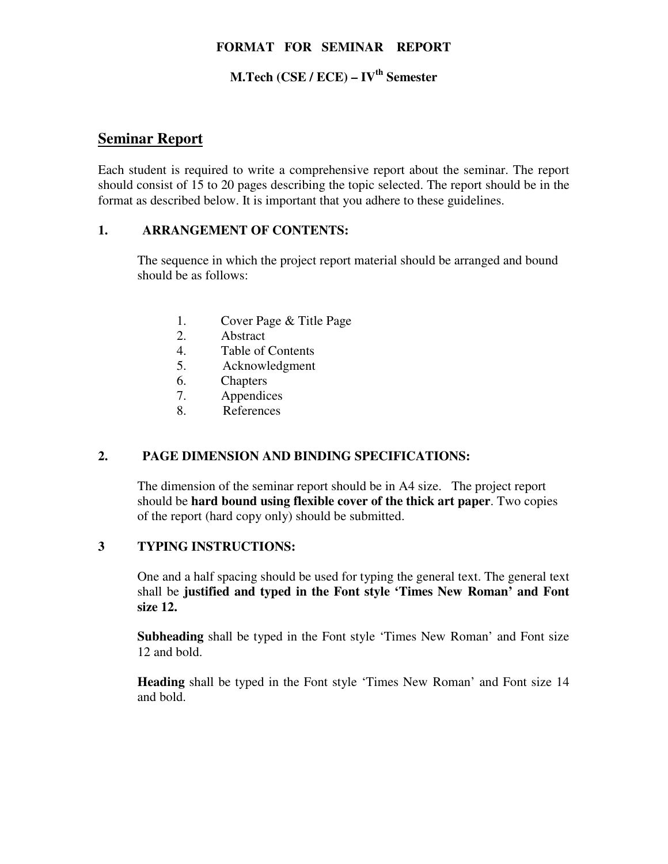#### **FORMAT FOR SEMINAR REPORT**

## **M.Tech (CSE / ECE) – IVth Semester**

## **Seminar Report**

Each student is required to write a comprehensive report about the seminar. The report should consist of 15 to 20 pages describing the topic selected. The report should be in the format as described below. It is important that you adhere to these guidelines.

#### **1. ARRANGEMENT OF CONTENTS:**

The sequence in which the project report material should be arranged and bound should be as follows:

- 1. Cover Page & Title Page
- 2. Abstract
- 4. Table of Contents
- 5. Acknowledgment
- 6. Chapters
- 7. Appendices
- 8. References

### **2. PAGE DIMENSION AND BINDING SPECIFICATIONS:**

The dimension of the seminar report should be in A4 size. The project report should be **hard bound using flexible cover of the thick art paper**. Two copies of the report (hard copy only) should be submitted.

### **3 TYPING INSTRUCTIONS:**

One and a half spacing should be used for typing the general text. The general text shall be **justified and typed in the Font style 'Times New Roman' and Font size 12.** 

 **Subheading** shall be typed in the Font style 'Times New Roman' and Font size 12 and bold.

 **Heading** shall be typed in the Font style 'Times New Roman' and Font size 14 and bold.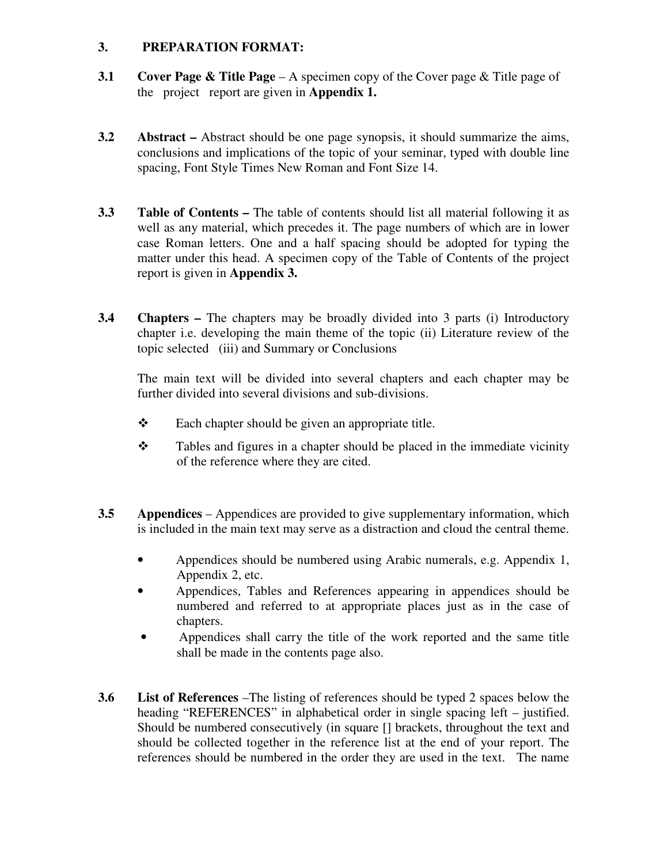### **3. PREPARATION FORMAT:**

- **3.1 Cover Page & Title Page**  A specimen copy of the Cover page & Title page of the project report are given in **Appendix 1.**
- **3.2 Abstract** Abstract should be one page synopsis, it should summarize the aims, conclusions and implications of the topic of your seminar, typed with double line spacing, Font Style Times New Roman and Font Size 14.
- **3.3** Table of Contents The table of contents should list all material following it as well as any material, which precedes it. The page numbers of which are in lower case Roman letters. One and a half spacing should be adopted for typing the matter under this head. A specimen copy of the Table of Contents of the project report is given in **Appendix 3.**
- **3.4 Chapters –** The chapters may be broadly divided into 3 parts (i) Introductory chapter i.e. developing the main theme of the topic (ii) Literature review of the topic selected (iii) and Summary or Conclusions

 The main text will be divided into several chapters and each chapter may be further divided into several divisions and sub-divisions.

- $\triangle$  Each chapter should be given an appropriate title.
- $\mathbf{\hat{P}}$  Tables and figures in a chapter should be placed in the immediate vicinity of the reference where they are cited.
- **3.5 Appendices**  Appendices are provided to give supplementary information, which is included in the main text may serve as a distraction and cloud the central theme.
	- Appendices should be numbered using Arabic numerals, e.g. Appendix 1, Appendix 2, etc.
	- Appendices, Tables and References appearing in appendices should be numbered and referred to at appropriate places just as in the case of chapters.
	- Appendices shall carry the title of the work reported and the same title shall be made in the contents page also.
- **3.6 List of References** –The listing of references should be typed 2 spaces below the heading "REFERENCES" in alphabetical order in single spacing left – justified. Should be numbered consecutively (in square [] brackets, throughout the text and should be collected together in the reference list at the end of your report. The references should be numbered in the order they are used in the text. The name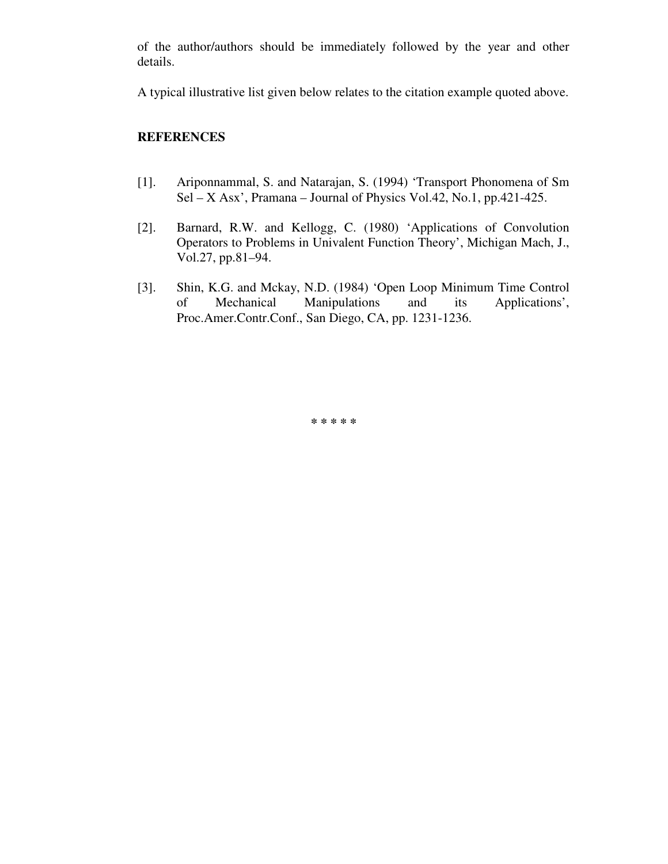of the author/authors should be immediately followed by the year and other details.

A typical illustrative list given below relates to the citation example quoted above.

#### **REFERENCES**

- [1]. Ariponnammal, S. and Natarajan, S. (1994) 'Transport Phonomena of Sm Sel – X Asx', Pramana – Journal of Physics Vol.42, No.1, pp.421-425.
- [2]. Barnard, R.W. and Kellogg, C. (1980) 'Applications of Convolution Operators to Problems in Univalent Function Theory', Michigan Mach, J., Vol.27, pp.81–94.
- [3]. Shin, K.G. and Mckay, N.D. (1984) 'Open Loop Minimum Time Control of Mechanical Manipulations and its Applications', Proc.Amer.Contr.Conf., San Diego, CA, pp. 1231-1236.

**\* \* \* \* \***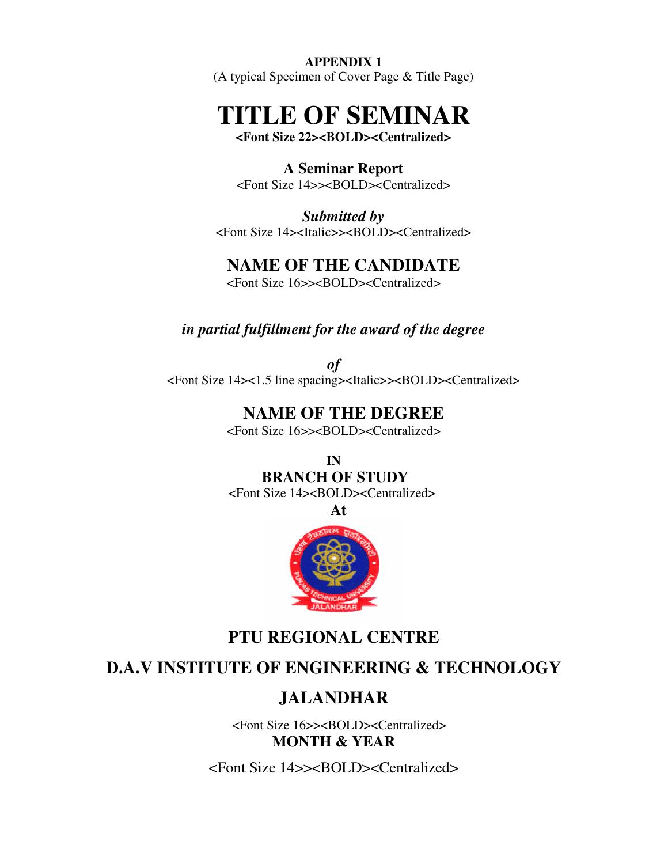#### **APPENDIX 1**

(A typical Specimen of Cover Page & Title Page)

## **TITLE OF SEMINAR**

**<Font Size 22><BOLD><Centralized>** 

**A Seminar Report**  <Font Size 14>><BOLD><Centralized>

*Submitted by*  <Font Size 14><Italic>><BOLD><Centralized>

## **NAME OF THE CANDIDATE**

<Font Size 16>><BOLD><Centralized>

### *in partial fulfillment for the award of the degree*

*of*  <Font Size 14><1.5 line spacing><Italic>><BOLD><Centralized>

## **NAME OF THE DEGREE**

<Font Size 16>><BOLD><Centralized>

**IN BRANCH OF STUDY** 

<Font Size 14><BOLD><Centralized>

**At** 



## **PTU REGIONAL CENTRE**

## **D.A.V INSTITUTE OF ENGINEERING & TECHNOLOGY**

## **JALANDHAR**

 <Font Size 16>><BOLD><Centralized> **MONTH & YEAR** 

<Font Size 14>><BOLD><Centralized>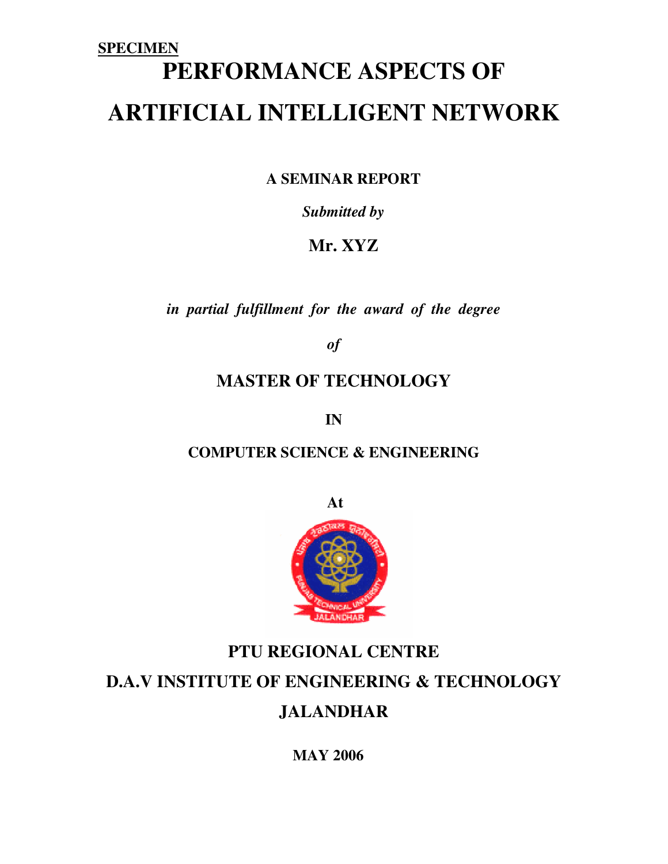# **SPECIMEN PERFORMANCE ASPECTS OF ARTIFICIAL INTELLIGENT NETWORK**

**A SEMINAR REPORT** 

*Submitted by* 

**Mr. XYZ** 

*in partial fulfillment for the award of the degree* 

*of* 

## **MASTER OF TECHNOLOGY**

**IN** 

## **COMPUTER SCIENCE & ENGINEERING**

**At** 



## **PTU REGIONAL CENTRE D.A.V INSTITUTE OF ENGINEERING & TECHNOLOGY JALANDHAR**

**MAY 2006**